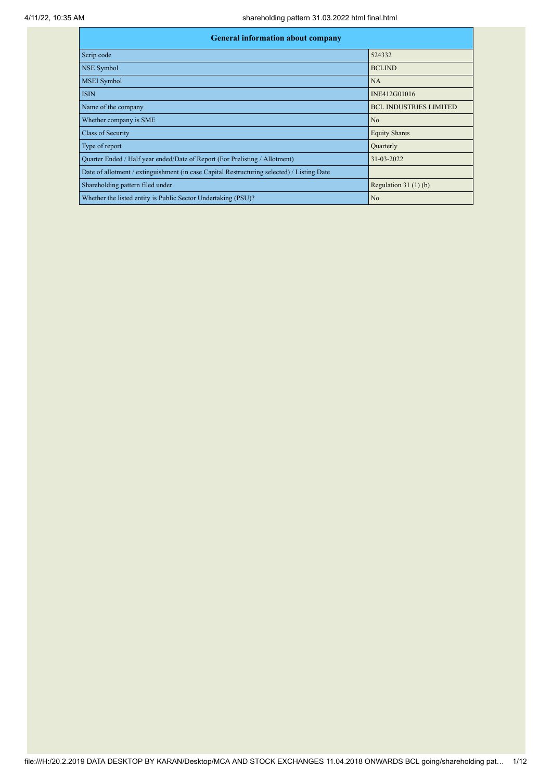| <b>General information about company</b>                                                   |                               |
|--------------------------------------------------------------------------------------------|-------------------------------|
| Scrip code                                                                                 | 524332                        |
| <b>NSE Symbol</b>                                                                          | <b>BCLIND</b>                 |
| <b>MSEI</b> Symbol                                                                         | NA                            |
| <b>ISIN</b>                                                                                | INE412G01016                  |
| Name of the company                                                                        | <b>BCL INDUSTRIES LIMITED</b> |
| Whether company is SME                                                                     | No                            |
| <b>Class of Security</b>                                                                   | <b>Equity Shares</b>          |
| Type of report                                                                             | Quarterly                     |
| Quarter Ended / Half year ended/Date of Report (For Prelisting / Allotment)                | 31-03-2022                    |
| Date of allotment / extinguishment (in case Capital Restructuring selected) / Listing Date |                               |
| Shareholding pattern filed under                                                           | Regulation $31(1)(b)$         |
| Whether the listed entity is Public Sector Undertaking (PSU)?                              | No                            |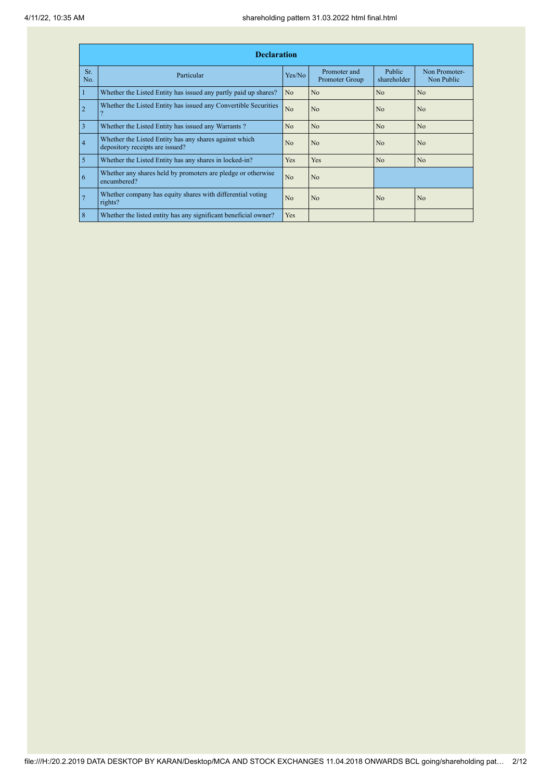|                | <b>Declaration</b>                                                                        |                |                                |                       |                             |
|----------------|-------------------------------------------------------------------------------------------|----------------|--------------------------------|-----------------------|-----------------------------|
| Sr.<br>No.     | Particular                                                                                | Yes/No         | Promoter and<br>Promoter Group | Public<br>shareholder | Non Promoter-<br>Non Public |
|                | Whether the Listed Entity has issued any partly paid up shares?                           | N <sub>o</sub> | No                             | N <sub>o</sub>        | N <sub>o</sub>              |
| $\overline{2}$ | Whether the Listed Entity has issued any Convertible Securities                           | No             | N <sub>0</sub>                 | N <sub>0</sub>        | N <sub>o</sub>              |
| $\overline{3}$ | Whether the Listed Entity has issued any Warrants?                                        | N <sub>o</sub> | N <sub>o</sub>                 | N <sub>o</sub>        | N <sub>o</sub>              |
| $\vert 4$      | Whether the Listed Entity has any shares against which<br>depository receipts are issued? | N <sub>o</sub> | No                             | N <sub>o</sub>        | N <sub>o</sub>              |
| $\overline{5}$ | Whether the Listed Entity has any shares in locked-in?                                    | Yes            | <b>Yes</b>                     | N <sub>o</sub>        | N <sub>o</sub>              |
| <sup>6</sup>   | Whether any shares held by promoters are pledge or otherwise<br>encumbered?               | N <sub>o</sub> | No                             |                       |                             |
| $\overline{7}$ | Whether company has equity shares with differential voting<br>rights?                     | No             | N <sub>0</sub>                 | N <sub>0</sub>        | N <sub>0</sub>              |
| 8              | Whether the listed entity has any significant beneficial owner?                           | Yes            |                                |                       |                             |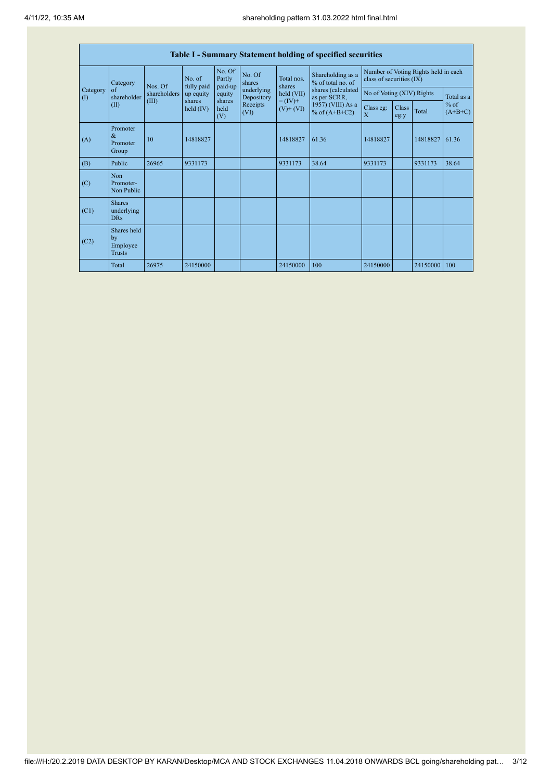|                         | <b>Table I - Summary Statement holding of specified securities</b> |                         |                       |                             |                          |                                    |                                                                                                                                    |                                                                  |               |            |                     |  |  |
|-------------------------|--------------------------------------------------------------------|-------------------------|-----------------------|-----------------------------|--------------------------|------------------------------------|------------------------------------------------------------------------------------------------------------------------------------|------------------------------------------------------------------|---------------|------------|---------------------|--|--|
|                         | Category<br>$\sigma$ f<br>shareholder                              | Nos. Of<br>shareholders | No. of<br>fully paid  | No. Of<br>Partly<br>paid-up | No. Of<br>shares         | Total nos.<br>shares<br>held (VII) | Shareholding as a<br>% of total no. of<br>shares (calculated<br>as per SCRR,<br>$= (IV) +$<br>1957) (VIII) As a<br>% of $(A+B+C2)$ | Number of Voting Rights held in each<br>class of securities (IX) |               |            |                     |  |  |
| Category<br>$($ $($ $)$ |                                                                    |                         | up equity             | equity                      | underlying<br>Depository |                                    |                                                                                                                                    | No of Voting (XIV) Rights                                        |               | Total as a |                     |  |  |
|                         | (II)                                                               | (III)                   | shares<br>held $(IV)$ | shares<br>held<br>(V)       | Receipts<br>(VI)         | $(V)$ + $(VI)$                     |                                                                                                                                    | Class eg:<br>$\overline{X}$                                      | Class<br>eg:y | Total      | $%$ of<br>$(A+B+C)$ |  |  |
| (A)                     | Promoter<br>$\&$<br>Promoter<br>Group                              | 10                      | 14818827              |                             |                          | 14818827                           | 61.36                                                                                                                              | 14818827                                                         |               | 14818827   | 61.36               |  |  |
| (B)                     | Public                                                             | 26965                   | 9331173               |                             |                          | 9331173                            | 38.64                                                                                                                              | 9331173                                                          |               | 9331173    | 38.64               |  |  |
| (C)                     | Non<br>Promoter-<br>Non Public                                     |                         |                       |                             |                          |                                    |                                                                                                                                    |                                                                  |               |            |                     |  |  |
| (C1)                    | <b>Shares</b><br>underlying<br><b>DRs</b>                          |                         |                       |                             |                          |                                    |                                                                                                                                    |                                                                  |               |            |                     |  |  |
| (C2)                    | Shares held<br>by<br>Employee<br><b>Trusts</b>                     |                         |                       |                             |                          |                                    |                                                                                                                                    |                                                                  |               |            |                     |  |  |
|                         | Total                                                              | 26975                   | 24150000              |                             |                          | 24150000                           | 100                                                                                                                                | 24150000                                                         |               | 24150000   | 100                 |  |  |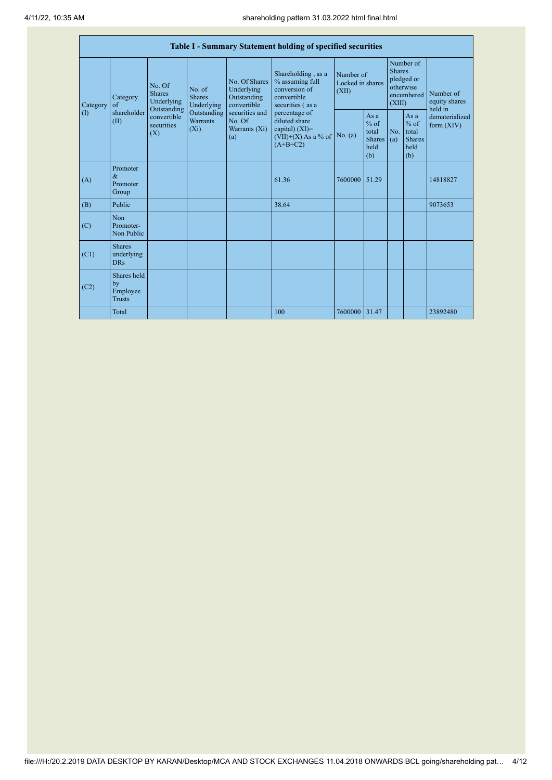|                                        | Table I - Summary Statement holding of specified securities |                                                      |                                           |                                                                                                               |                                                                                                    |                                        |                                                                               |            |                                                         |                                |  |  |  |
|----------------------------------------|-------------------------------------------------------------|------------------------------------------------------|-------------------------------------------|---------------------------------------------------------------------------------------------------------------|----------------------------------------------------------------------------------------------------|----------------------------------------|-------------------------------------------------------------------------------|------------|---------------------------------------------------------|--------------------------------|--|--|--|
| Category<br>$\left( \mathrm{I}\right)$ | Category<br>$\alpha$ f<br>shareholder<br>(II)               | No. Of<br><b>Shares</b><br>Underlying<br>Outstanding | No. of<br><b>Shares</b><br>Underlying     | No. Of Shares<br>Underlying<br>Outstanding<br>convertible<br>securities and<br>No. Of<br>Warrants (Xi)<br>(a) | Shareholding, as a<br>% assuming full<br>conversion of<br>convertible<br>securities (as a          | Number of<br>Locked in shares<br>(XII) | Number of<br><b>Shares</b><br>pledged or<br>otherwise<br>encumbered<br>(XIII) |            | Number of<br>equity shares<br>held in                   |                                |  |  |  |
|                                        |                                                             | convertible<br>securities<br>(X)                     | Outstanding<br><b>Warrants</b><br>$(X_i)$ |                                                                                                               | percentage of<br>diluted share<br>capital) $(XI)$ =<br>$(VII)+(X)$ As a % of No. (a)<br>$(A+B+C2)$ |                                        | Asa<br>$%$ of<br>total<br><b>Shares</b><br>held<br>(b)                        | No.<br>(a) | As a<br>$%$ of<br>total<br><b>Shares</b><br>held<br>(b) | dematerialized<br>form $(XIV)$ |  |  |  |
| (A)                                    | Promoter<br>$\&$<br>Promoter<br>Group                       |                                                      |                                           |                                                                                                               | 61.36                                                                                              | 7600000                                | 51.29                                                                         |            |                                                         | 14818827                       |  |  |  |
| (B)                                    | Public                                                      |                                                      |                                           |                                                                                                               | 38.64                                                                                              |                                        |                                                                               |            |                                                         | 9073653                        |  |  |  |
| (C)                                    | <b>Non</b><br>Promoter-<br>Non Public                       |                                                      |                                           |                                                                                                               |                                                                                                    |                                        |                                                                               |            |                                                         |                                |  |  |  |
| (C1)                                   | <b>Shares</b><br>underlying<br><b>DRs</b>                   |                                                      |                                           |                                                                                                               |                                                                                                    |                                        |                                                                               |            |                                                         |                                |  |  |  |
| (C2)                                   | Shares held<br>by<br>Employee<br><b>Trusts</b>              |                                                      |                                           |                                                                                                               |                                                                                                    |                                        |                                                                               |            |                                                         |                                |  |  |  |
|                                        | Total                                                       |                                                      |                                           |                                                                                                               | 100                                                                                                | 7600000 31.47                          |                                                                               |            |                                                         | 23892480                       |  |  |  |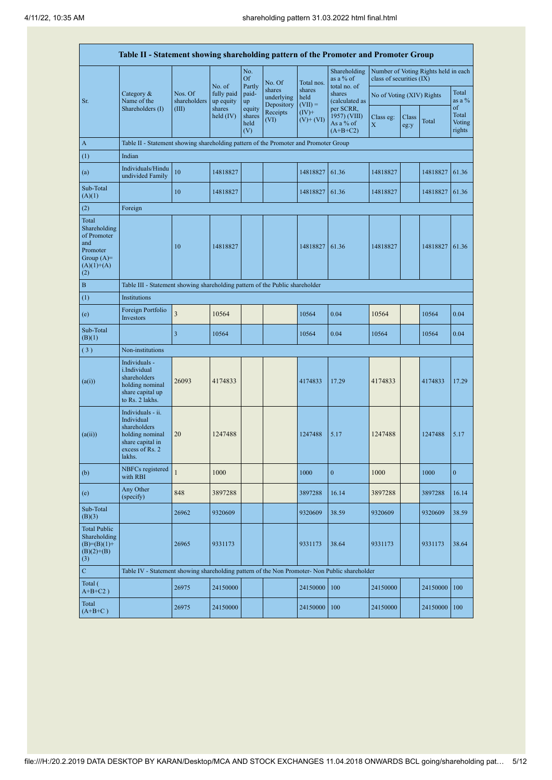| Table II - Statement showing shareholding pattern of the Promoter and Promoter Group           |                                                                                                                     |                         |                         |                                 |                                    |                             |                                                      |                                                                  |               |          |                                 |  |
|------------------------------------------------------------------------------------------------|---------------------------------------------------------------------------------------------------------------------|-------------------------|-------------------------|---------------------------------|------------------------------------|-----------------------------|------------------------------------------------------|------------------------------------------------------------------|---------------|----------|---------------------------------|--|
|                                                                                                |                                                                                                                     |                         | No. of                  | No.<br><b>Of</b>                | No. Of                             | Total nos.                  | Shareholding<br>as a % of                            | Number of Voting Rights held in each<br>class of securities (IX) |               |          |                                 |  |
| Sr.                                                                                            | Category &<br>Name of the                                                                                           | Nos. Of<br>shareholders | fully paid<br>up equity | Partly<br>paid-<br>up           | shares<br>underlying<br>Depository | shares<br>held<br>$(VII) =$ | total no. of<br>shares<br>(calculated as             | No of Voting (XIV) Rights                                        |               |          | Total<br>as a $%$               |  |
|                                                                                                | Shareholders (I)                                                                                                    | (III)                   | shares<br>held $(IV)$   | equity<br>shares<br>held<br>(V) | Receipts<br>(VI)                   | $(IV)$ +<br>$(V)$ + $(VI)$  | per SCRR,<br>1957) (VIII)<br>As a % of<br>$(A+B+C2)$ | Class eg:<br>$\mathbf X$                                         | Class<br>eg:y | Total    | of<br>Total<br>Voting<br>rights |  |
| $\mathbf{A}$                                                                                   | Table II - Statement showing shareholding pattern of the Promoter and Promoter Group                                |                         |                         |                                 |                                    |                             |                                                      |                                                                  |               |          |                                 |  |
| (1)                                                                                            | Indian                                                                                                              |                         |                         |                                 |                                    |                             |                                                      |                                                                  |               |          |                                 |  |
| (a)                                                                                            | Individuals/Hindu<br>undivided Family                                                                               | 10                      | 14818827                |                                 |                                    | 14818827                    | 61.36                                                | 14818827                                                         |               | 14818827 | 61.36                           |  |
| Sub-Total<br>(A)(1)                                                                            |                                                                                                                     | 10                      | 14818827                |                                 |                                    | 14818827                    | 61.36                                                | 14818827                                                         |               | 14818827 | 61.36                           |  |
| (2)                                                                                            | Foreign                                                                                                             |                         |                         |                                 |                                    |                             |                                                      |                                                                  |               |          |                                 |  |
| Total<br>Shareholding<br>of Promoter<br>and<br>Promoter<br>Group $(A)=$<br>$(A)(1)+(A)$<br>(2) |                                                                                                                     | 10                      | 14818827                |                                 |                                    | 14818827                    | 61.36                                                | 14818827                                                         |               | 14818827 | 61.36                           |  |
| $\mathbf{B}$                                                                                   | Table III - Statement showing shareholding pattern of the Public shareholder                                        |                         |                         |                                 |                                    |                             |                                                      |                                                                  |               |          |                                 |  |
| (1)                                                                                            | Institutions                                                                                                        |                         |                         |                                 |                                    |                             |                                                      |                                                                  |               |          |                                 |  |
| (e)                                                                                            | Foreign Portfolio<br>Investors                                                                                      | $\overline{\mathbf{3}}$ | 10564                   |                                 |                                    | 10564                       | 0.04                                                 | 10564                                                            |               | 10564    | 0.04                            |  |
| Sub-Total<br>(B)(1)                                                                            |                                                                                                                     | 3                       | 10564                   |                                 |                                    | 10564                       | 0.04                                                 | 10564                                                            |               | 10564    | 0.04                            |  |
| (3)                                                                                            | Non-institutions                                                                                                    |                         |                         |                                 |                                    |                             |                                                      |                                                                  |               |          |                                 |  |
| (a(i))                                                                                         | Individuals -<br>i.Individual<br>shareholders<br>holding nominal<br>share capital up<br>to Rs. 2 lakhs.             | 26093                   | 4174833                 |                                 |                                    | 4174833                     | 17.29                                                | 4174833                                                          |               | 4174833  | 17.29                           |  |
| (a(ii))                                                                                        | Individuals - ii.<br>Individual<br>shareholders<br>holding nominal<br>share capital in<br>excess of Rs. 2<br>lakhs. | 20                      | 1247488                 |                                 |                                    | 1247488                     | 5.17                                                 | 1247488                                                          |               | 1247488  | 5.17                            |  |
| (b)                                                                                            | NBFCs registered<br>with RBI                                                                                        | $\mathbf{1}$            | 1000                    |                                 |                                    | 1000                        | $\boldsymbol{0}$                                     | 1000                                                             |               | 1000     | $\mathbf{0}$                    |  |
| (e)                                                                                            | Any Other<br>(specify)                                                                                              | 848                     | 3897288                 |                                 |                                    | 3897288                     | 16.14                                                | 3897288                                                          |               | 3897288  | 16.14                           |  |
| Sub-Total<br>(B)(3)                                                                            |                                                                                                                     | 26962                   | 9320609                 |                                 |                                    | 9320609                     | 38.59                                                | 9320609                                                          |               | 9320609  | 38.59                           |  |
| <b>Total Public</b><br>Shareholding<br>$(B)=(B)(1)$ +<br>$(B)(2)+(B)$<br>(3)                   |                                                                                                                     | 26965                   | 9331173                 |                                 |                                    | 9331173                     | 38.64                                                | 9331173                                                          |               | 9331173  | 38.64                           |  |
| $\mathbf C$                                                                                    | Table IV - Statement showing shareholding pattern of the Non Promoter- Non Public shareholder                       |                         |                         |                                 |                                    |                             |                                                      |                                                                  |               |          |                                 |  |
| Total (<br>$A+B+C2$ )                                                                          |                                                                                                                     | 26975                   | 24150000                |                                 |                                    | 24150000                    | 100                                                  | 24150000                                                         |               | 24150000 | 100                             |  |
| Total<br>$(A+B+C)$                                                                             |                                                                                                                     | 26975                   | 24150000                |                                 |                                    | 24150000                    | 100                                                  | 24150000                                                         |               | 24150000 | 100                             |  |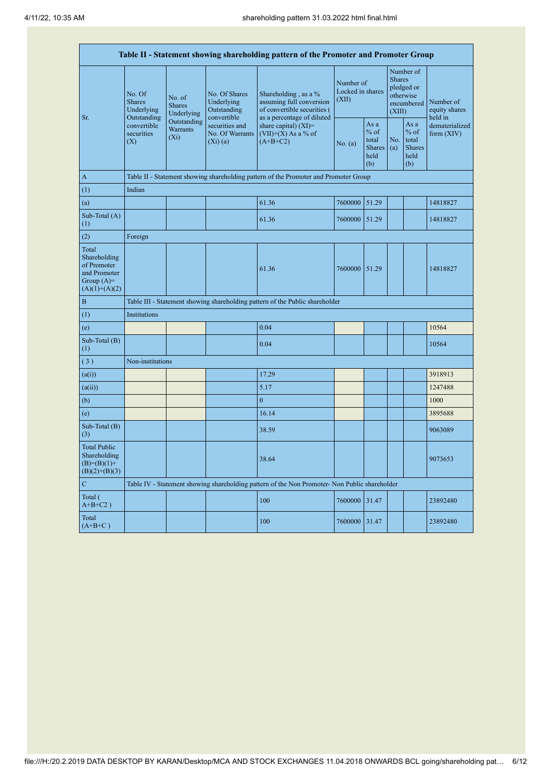| Table II - Statement showing shareholding pattern of the Promoter and Promoter Group    |                                               |                                           |                                                           |                                                                                                                 |                                        |                                                         |                                                    |                                                         |                              |  |  |  |  |
|-----------------------------------------------------------------------------------------|-----------------------------------------------|-------------------------------------------|-----------------------------------------------------------|-----------------------------------------------------------------------------------------------------------------|----------------------------------------|---------------------------------------------------------|----------------------------------------------------|---------------------------------------------------------|------------------------------|--|--|--|--|
| Sr.                                                                                     | No. Of<br>Shares<br>Underlying<br>Outstanding | No. of<br><b>Shares</b><br>Underlying     | No. Of Shares<br>Underlying<br>Outstanding<br>convertible | Shareholding, as a $%$<br>assuming full conversion<br>of convertible securities (<br>as a percentage of diluted | Number of<br>Locked in shares<br>(XII) | <b>Shares</b><br>(XIII)                                 | Number of<br>pledged or<br>otherwise<br>encumbered | Number of<br>equity shares<br>held in                   |                              |  |  |  |  |
|                                                                                         | convertible<br>securities<br>(X)              | Outstanding<br><b>Warrants</b><br>$(X_i)$ | securities and<br>No. Of Warrants<br>(Xi)(a)              | share capital) $(XI)$ =<br>$(VII)+(X)$ As a % of<br>$(A+B+C2)$                                                  | No. (a)                                | As a<br>$%$ of<br>total<br><b>Shares</b><br>held<br>(b) | No.<br>(a)                                         | As a<br>$%$ of<br>total<br><b>Shares</b><br>held<br>(b) | dematerialized<br>form (XIV) |  |  |  |  |
| $\,$ A $\,$                                                                             |                                               |                                           |                                                           | Table II - Statement showing shareholding pattern of the Promoter and Promoter Group                            |                                        |                                                         |                                                    |                                                         |                              |  |  |  |  |
| $\left( 1\right)$                                                                       | Indian                                        |                                           |                                                           |                                                                                                                 |                                        |                                                         |                                                    |                                                         |                              |  |  |  |  |
| (a)                                                                                     |                                               |                                           |                                                           | 61.36                                                                                                           | 7600000                                | 51.29                                                   |                                                    |                                                         | 14818827                     |  |  |  |  |
| Sub-Total (A)<br>(1)                                                                    |                                               |                                           |                                                           | 61.36                                                                                                           | 7600000                                | 51.29                                                   |                                                    |                                                         | 14818827                     |  |  |  |  |
| (2)                                                                                     | Foreign                                       |                                           |                                                           |                                                                                                                 |                                        |                                                         |                                                    |                                                         |                              |  |  |  |  |
| Total<br>Shareholding<br>of Promoter<br>and Promoter<br>Group $(A)=$<br>$(A)(1)+(A)(2)$ |                                               |                                           |                                                           | 61.36                                                                                                           | 7600000                                | 51.29                                                   |                                                    |                                                         | 14818827                     |  |  |  |  |
| B                                                                                       |                                               |                                           |                                                           | Table III - Statement showing shareholding pattern of the Public shareholder                                    |                                        |                                                         |                                                    |                                                         |                              |  |  |  |  |
| (1)                                                                                     | Institutions                                  |                                           |                                                           |                                                                                                                 |                                        |                                                         |                                                    |                                                         |                              |  |  |  |  |
| (e)                                                                                     |                                               |                                           |                                                           | 0.04                                                                                                            |                                        |                                                         |                                                    |                                                         | 10564                        |  |  |  |  |
| Sub-Total (B)<br>(1)                                                                    |                                               |                                           |                                                           | 0.04                                                                                                            |                                        |                                                         |                                                    |                                                         | 10564                        |  |  |  |  |
| (3)                                                                                     | Non-institutions                              |                                           |                                                           |                                                                                                                 |                                        |                                                         |                                                    |                                                         |                              |  |  |  |  |
| (a(i))                                                                                  |                                               |                                           |                                                           | 17.29                                                                                                           |                                        |                                                         |                                                    |                                                         | 3918913                      |  |  |  |  |
| (a(ii))                                                                                 |                                               |                                           |                                                           | 5.17                                                                                                            |                                        |                                                         |                                                    |                                                         | 1247488                      |  |  |  |  |
| (b)                                                                                     |                                               |                                           |                                                           | $\overline{0}$                                                                                                  |                                        |                                                         |                                                    |                                                         | 1000                         |  |  |  |  |
| (e)                                                                                     |                                               |                                           |                                                           | 16.14                                                                                                           |                                        |                                                         |                                                    |                                                         | 3895688                      |  |  |  |  |
| Sub-Total (B)<br>(3)                                                                    |                                               |                                           |                                                           | 38.59                                                                                                           |                                        |                                                         |                                                    |                                                         | 9063089                      |  |  |  |  |
| <b>Total Public</b><br>Shareholding<br>$(B)=(B)(1)+$<br>$(B)(2)+(B)(3)$                 |                                               |                                           |                                                           | 38.64                                                                                                           |                                        |                                                         |                                                    |                                                         | 9073653                      |  |  |  |  |
| $\overline{C}$                                                                          |                                               |                                           |                                                           | Table IV - Statement showing shareholding pattern of the Non Promoter- Non Public shareholder                   |                                        |                                                         |                                                    |                                                         |                              |  |  |  |  |
| Total (<br>$A+B+C2$ )                                                                   |                                               |                                           |                                                           | 100                                                                                                             | 7600000                                | 31.47                                                   |                                                    |                                                         | 23892480                     |  |  |  |  |
| Total<br>$(A+B+C)$                                                                      |                                               |                                           |                                                           | 100                                                                                                             | 7600000 31.47                          |                                                         |                                                    |                                                         | 23892480                     |  |  |  |  |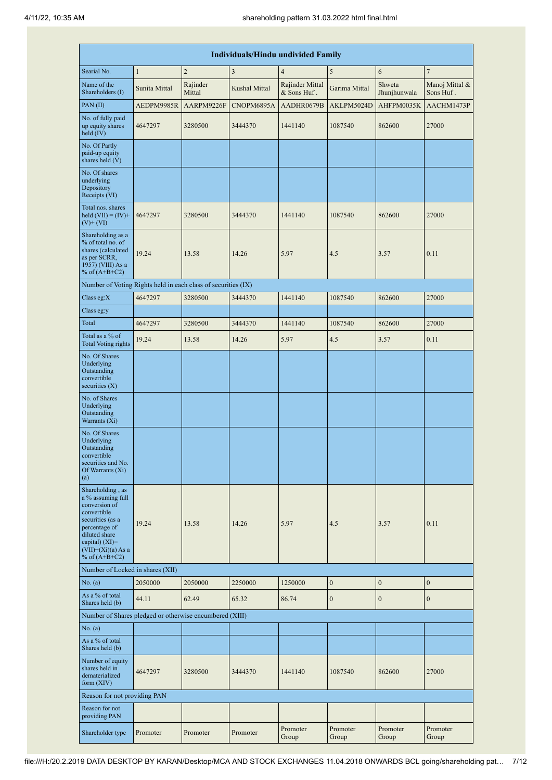|                                                                                                                                                                                            | <b>Individuals/Hindu undivided Family</b> |                    |               |                                |                   |                        |                             |  |  |  |  |  |  |
|--------------------------------------------------------------------------------------------------------------------------------------------------------------------------------------------|-------------------------------------------|--------------------|---------------|--------------------------------|-------------------|------------------------|-----------------------------|--|--|--|--|--|--|
| Searial No.                                                                                                                                                                                | $\mathbf{1}$                              | $\overline{2}$     | 3             | $\overline{4}$                 | 5                 | 6                      | $\overline{7}$              |  |  |  |  |  |  |
| Name of the<br>Shareholders (I)                                                                                                                                                            | Sunita Mittal                             | Rajinder<br>Mittal | Kushal Mittal | Rajinder Mittal<br>& Sons Huf. | Garima Mittal     | Shweta<br>Jhunjhunwala | Manoj Mittal &<br>Sons Huf. |  |  |  |  |  |  |
| PAN $(II)$                                                                                                                                                                                 | AEDPM9985R                                | AARPM9226F         | CNOPM6895A    | AADHR0679B                     | AKLPM5024D        | AHFPM0035K             | AACHM1473P                  |  |  |  |  |  |  |
| No. of fully paid<br>up equity shares<br>held $(IV)$                                                                                                                                       | 4647297                                   | 3280500            | 3444370       | 1441140                        | 1087540           | 862600                 | 27000                       |  |  |  |  |  |  |
| No. Of Partly<br>paid-up equity<br>shares held (V)                                                                                                                                         |                                           |                    |               |                                |                   |                        |                             |  |  |  |  |  |  |
| No. Of shares<br>underlying<br>Depository<br>Receipts (VI)                                                                                                                                 |                                           |                    |               |                                |                   |                        |                             |  |  |  |  |  |  |
| Total nos. shares<br>held $(VII) = (IV) +$<br>$(V)$ + $(VI)$                                                                                                                               | 4647297                                   | 3280500            | 3444370       | 1441140<br>1087540             |                   | 862600                 | 27000                       |  |  |  |  |  |  |
| Shareholding as a<br>% of total no. of<br>shares (calculated<br>as per SCRR,<br>1957) (VIII) As a<br>% of $(A+B+C2)$                                                                       | 19.24                                     | 13.58<br>14.26     |               | 5.97                           | 4.5               | 3.57                   | 0.11                        |  |  |  |  |  |  |
| Number of Voting Rights held in each class of securities (IX)                                                                                                                              |                                           |                    |               |                                |                   |                        |                             |  |  |  |  |  |  |
| Class eg:X                                                                                                                                                                                 | 4647297                                   | 3280500            | 3444370       | 1441140                        | 1087540           | 862600                 | 27000                       |  |  |  |  |  |  |
| Class eg:y                                                                                                                                                                                 |                                           |                    |               |                                |                   |                        |                             |  |  |  |  |  |  |
| Total                                                                                                                                                                                      | 4647297                                   | 3280500            | 3444370       | 1441140                        | 1087540           | 862600                 | 27000                       |  |  |  |  |  |  |
| Total as a % of<br><b>Total Voting rights</b>                                                                                                                                              | 19.24                                     | 13.58              | 14.26         | 5.97                           | 4.5               | 3.57                   | 0.11                        |  |  |  |  |  |  |
| No. Of Shares<br>Underlying<br>Outstanding<br>convertible<br>securities $(X)$                                                                                                              |                                           |                    |               |                                |                   |                        |                             |  |  |  |  |  |  |
| No. of Shares<br>Underlying<br>Outstanding<br>Warrants (Xi)                                                                                                                                |                                           |                    |               |                                |                   |                        |                             |  |  |  |  |  |  |
| No. Of Shares<br>Underlying<br>Outstanding<br>convertible<br>securities and No.<br>Of Warrants (Xi)<br>(a)                                                                                 |                                           |                    |               |                                |                   |                        |                             |  |  |  |  |  |  |
| Shareholding, as<br>a % assuming full<br>conversion of<br>convertible<br>securities (as a<br>percentage of<br>diluted share<br>capital) $(XI)=$<br>$(VII)+(Xi)(a)$ As a<br>% of $(A+B+C2)$ | 19.24                                     | 13.58              | 14.26         | 5.97                           | 4.5               | 3.57                   | 0.11                        |  |  |  |  |  |  |
| Number of Locked in shares (XII)                                                                                                                                                           |                                           |                    |               |                                |                   |                        |                             |  |  |  |  |  |  |
| No. (a)                                                                                                                                                                                    | 2050000                                   | 2050000            | 2250000       | 1250000                        | $\boldsymbol{0}$  | $\boldsymbol{0}$       | $\boldsymbol{0}$            |  |  |  |  |  |  |
| As a % of total<br>Shares held (b)                                                                                                                                                         | 44.11                                     | 62.49              | 65.32         | 86.74                          | $\boldsymbol{0}$  | $\boldsymbol{0}$       | $\boldsymbol{0}$            |  |  |  |  |  |  |
| Number of Shares pledged or otherwise encumbered (XIII)                                                                                                                                    |                                           |                    |               |                                |                   |                        |                             |  |  |  |  |  |  |
| No. (a)<br>As a % of total<br>Shares held (b)                                                                                                                                              |                                           |                    |               |                                |                   |                        |                             |  |  |  |  |  |  |
| Number of equity<br>shares held in<br>dematerialized<br>form $(XIV)$                                                                                                                       | 4647297                                   | 3280500            | 3444370       | 1441140                        | 1087540           | 862600                 | 27000                       |  |  |  |  |  |  |
| Reason for not providing PAN                                                                                                                                                               |                                           |                    |               |                                |                   |                        |                             |  |  |  |  |  |  |
| Reason for not<br>providing PAN                                                                                                                                                            |                                           |                    |               |                                |                   |                        |                             |  |  |  |  |  |  |
| Shareholder type                                                                                                                                                                           | Promoter                                  | Promoter           | Promoter      | Promoter<br>Group              | Promoter<br>Group | Promoter<br>Group      | Promoter<br>Group           |  |  |  |  |  |  |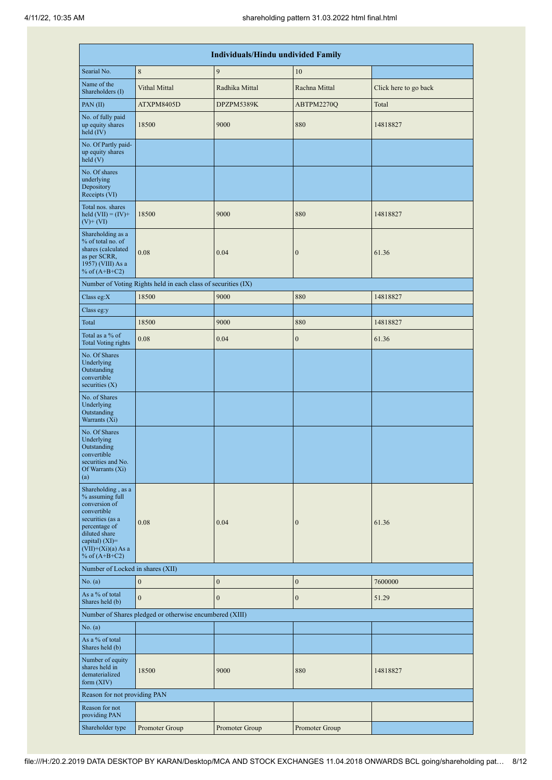|                                                                                                                                                                                             |                                                               | Individuals/Hindu undivided Family |                  |                       |  |
|---------------------------------------------------------------------------------------------------------------------------------------------------------------------------------------------|---------------------------------------------------------------|------------------------------------|------------------|-----------------------|--|
| Searial No.                                                                                                                                                                                 | $\,$ 8 $\,$                                                   | 9                                  | 10               |                       |  |
| Name of the<br>Shareholders (I)                                                                                                                                                             | Vithal Mittal                                                 | Radhika Mittal                     | Rachna Mittal    | Click here to go back |  |
| PAN(II)                                                                                                                                                                                     | ATXPM8405D                                                    | DPZPM5389K                         | ABTPM2270Q       | Total                 |  |
| No. of fully paid<br>up equity shares<br>held (IV)                                                                                                                                          | 18500                                                         | 9000                               | 880              | 14818827              |  |
| No. Of Partly paid-<br>up equity shares<br>$\text{held}$ (V)                                                                                                                                |                                                               |                                    |                  |                       |  |
| No. Of shares<br>underlying<br>Depository<br>Receipts (VI)                                                                                                                                  |                                                               |                                    |                  |                       |  |
| Total nos. shares<br>held $(VII) = (IV) +$<br>$(V)$ + $(VI)$                                                                                                                                | 18500                                                         | 9000                               | 880              | 14818827              |  |
| Shareholding as a<br>% of total no. of<br>shares (calculated<br>as per SCRR,<br>1957) (VIII) As a<br>% of $(A+B+C2)$                                                                        | 0.08                                                          | 0.04                               | $\boldsymbol{0}$ | 61.36                 |  |
|                                                                                                                                                                                             | Number of Voting Rights held in each class of securities (IX) |                                    |                  |                       |  |
| Class eg: $X$                                                                                                                                                                               | 18500                                                         | 9000                               | 880              | 14818827              |  |
| Class eg:y                                                                                                                                                                                  |                                                               |                                    |                  |                       |  |
| Total                                                                                                                                                                                       | 18500                                                         | 9000                               | 880              | 14818827              |  |
| Total as a % of<br><b>Total Voting rights</b>                                                                                                                                               | 0.08                                                          | 0.04                               | $\boldsymbol{0}$ | 61.36                 |  |
| No. Of Shares<br>Underlying<br>Outstanding<br>convertible<br>securities $(X)$                                                                                                               |                                                               |                                    |                  |                       |  |
| No. of Shares<br>Underlying<br>Outstanding<br>Warrants (Xi)                                                                                                                                 |                                                               |                                    |                  |                       |  |
| No. Of Shares<br>Underlying<br>Outstanding<br>convertible<br>securities and No.<br>Of Warrants (Xi)<br>(a)                                                                                  |                                                               |                                    |                  |                       |  |
| Shareholding, as a<br>% assuming full<br>conversion of<br>convertible<br>securities (as a<br>percentage of<br>diluted share<br>capital) $(XI)$ =<br>$(VII)+(Xi)(a) As a$<br>% of $(A+B+C2)$ | 0.08                                                          | 0.04                               | $\mathbf{0}$     | 61.36                 |  |
| Number of Locked in shares (XII)                                                                                                                                                            |                                                               |                                    |                  |                       |  |
| No. (a)                                                                                                                                                                                     | $\mathbf{0}$                                                  | $\boldsymbol{0}$                   | $\boldsymbol{0}$ | 7600000               |  |
| As a % of total<br>Shares held (b)                                                                                                                                                          | $\mathbf{0}$                                                  | $\boldsymbol{0}$                   | $\boldsymbol{0}$ | 51.29                 |  |
|                                                                                                                                                                                             | Number of Shares pledged or otherwise encumbered (XIII)       |                                    |                  |                       |  |
| No. (a)                                                                                                                                                                                     |                                                               |                                    |                  |                       |  |
| As a % of total<br>Shares held (b)                                                                                                                                                          |                                                               |                                    |                  |                       |  |
| Number of equity<br>shares held in<br>dematerialized<br>form $(XIV)$                                                                                                                        | 18500                                                         | 9000                               | 880              | 14818827              |  |
| Reason for not providing PAN                                                                                                                                                                |                                                               |                                    |                  |                       |  |
| Reason for not<br>providing PAN                                                                                                                                                             |                                                               |                                    |                  |                       |  |
| Shareholder type                                                                                                                                                                            | Promoter Group                                                | Promoter Group                     | Promoter Group   |                       |  |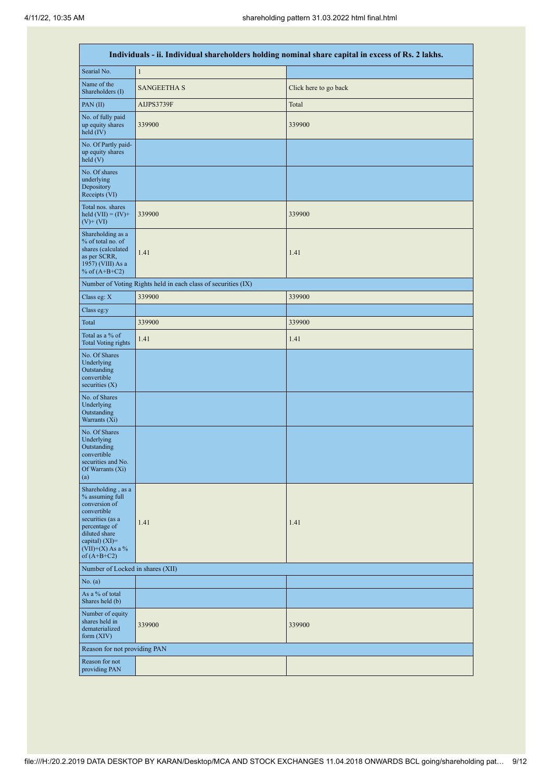| Individuals - ii. Individual shareholders holding nominal share capital in excess of Rs. 2 lakhs.                                                                                    |                                                               |                       |  |  |  |  |  |  |  |  |
|--------------------------------------------------------------------------------------------------------------------------------------------------------------------------------------|---------------------------------------------------------------|-----------------------|--|--|--|--|--|--|--|--|
| Searial No.                                                                                                                                                                          | $\mathbf{1}$                                                  |                       |  |  |  |  |  |  |  |  |
| Name of the<br>Shareholders (I)                                                                                                                                                      | <b>SANGEETHA S</b>                                            | Click here to go back |  |  |  |  |  |  |  |  |
| PAN $(II)$                                                                                                                                                                           | AIJPS3739F                                                    | Total                 |  |  |  |  |  |  |  |  |
| No. of fully paid<br>up equity shares<br>held $(IV)$                                                                                                                                 | 339900                                                        | 339900                |  |  |  |  |  |  |  |  |
| No. Of Partly paid-<br>up equity shares<br>held(V)                                                                                                                                   |                                                               |                       |  |  |  |  |  |  |  |  |
| No. Of shares<br>underlying<br>Depository<br>Receipts (VI)                                                                                                                           |                                                               |                       |  |  |  |  |  |  |  |  |
| Total nos. shares<br>held $(VII) = (IV) +$<br>$(V)$ + $(VI)$                                                                                                                         | 339900                                                        | 339900                |  |  |  |  |  |  |  |  |
| Shareholding as a<br>% of total no. of<br>shares (calculated<br>as per SCRR,<br>1957) (VIII) As a<br>% of $(A+B+C2)$                                                                 | 1.41                                                          | 1.41                  |  |  |  |  |  |  |  |  |
|                                                                                                                                                                                      | Number of Voting Rights held in each class of securities (IX) |                       |  |  |  |  |  |  |  |  |
| Class eg: X                                                                                                                                                                          | 339900                                                        | 339900                |  |  |  |  |  |  |  |  |
| Class eg:y                                                                                                                                                                           |                                                               |                       |  |  |  |  |  |  |  |  |
| Total                                                                                                                                                                                | 339900                                                        | 339900                |  |  |  |  |  |  |  |  |
| Total as a % of<br><b>Total Voting rights</b>                                                                                                                                        | 1.41                                                          | 1.41                  |  |  |  |  |  |  |  |  |
| No. Of Shares<br>Underlying<br>Outstanding<br>convertible<br>securities $(X)$                                                                                                        |                                                               |                       |  |  |  |  |  |  |  |  |
| No. of Shares<br>Underlying<br>Outstanding<br>Warrants (Xi)                                                                                                                          |                                                               |                       |  |  |  |  |  |  |  |  |
| No. Of Shares<br>Underlying<br>Outstanding<br>convertible<br>securities and No.<br>Of Warrants (Xi)<br>(a)                                                                           |                                                               |                       |  |  |  |  |  |  |  |  |
| Shareholding, as a<br>% assuming full<br>conversion of<br>convertible<br>securities (as a<br>percentage of<br>diluted share<br>capital) (XI)=<br>$(VII)+(X)$ As a %<br>of $(A+B+C2)$ | 1.41                                                          | 1.41                  |  |  |  |  |  |  |  |  |
| Number of Locked in shares (XII)                                                                                                                                                     |                                                               |                       |  |  |  |  |  |  |  |  |
| No. (a)                                                                                                                                                                              |                                                               |                       |  |  |  |  |  |  |  |  |
| As a % of total<br>Shares held (b)                                                                                                                                                   |                                                               |                       |  |  |  |  |  |  |  |  |
| Number of equity<br>shares held in<br>dematerialized<br>form $(XIV)$                                                                                                                 | 339900                                                        | 339900                |  |  |  |  |  |  |  |  |
| Reason for not providing PAN                                                                                                                                                         |                                                               |                       |  |  |  |  |  |  |  |  |
| Reason for not<br>providing PAN                                                                                                                                                      |                                                               |                       |  |  |  |  |  |  |  |  |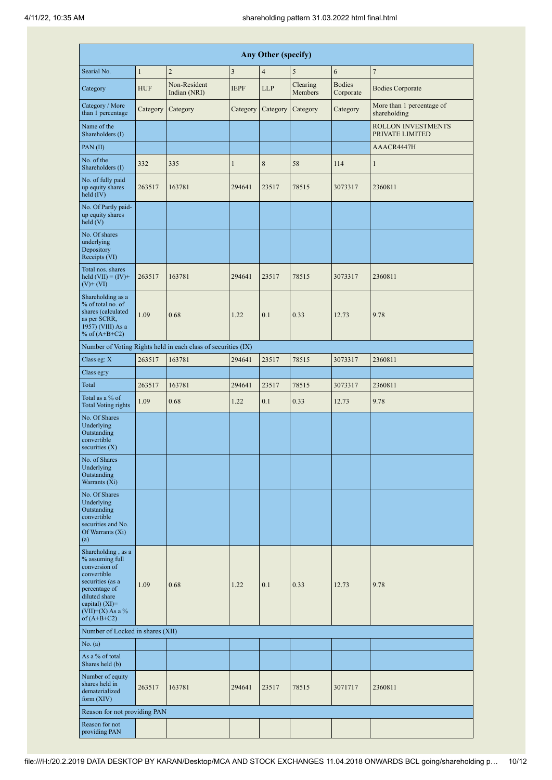|                                                                                                                                                                                        | Any Other (specify) |                                                               |                |                |                     |                            |                                              |  |  |  |  |  |
|----------------------------------------------------------------------------------------------------------------------------------------------------------------------------------------|---------------------|---------------------------------------------------------------|----------------|----------------|---------------------|----------------------------|----------------------------------------------|--|--|--|--|--|
| Searial No.                                                                                                                                                                            | $\mathbf{1}$        | $\overline{2}$                                                | $\mathfrak{Z}$ | $\overline{4}$ | 5                   | 6                          | $\overline{7}$                               |  |  |  |  |  |
| Category                                                                                                                                                                               | <b>HUF</b>          | Non-Resident<br>Indian (NRI)                                  | <b>IEPF</b>    | <b>LLP</b>     | Clearing<br>Members | <b>Bodies</b><br>Corporate | <b>Bodies Corporate</b>                      |  |  |  |  |  |
| Category / More<br>than 1 percentage                                                                                                                                                   | Category            | Category                                                      | Category       | Category       | Category            | Category                   | More than 1 percentage of<br>shareholding    |  |  |  |  |  |
| Name of the<br>Shareholders (I)                                                                                                                                                        |                     |                                                               |                |                |                     |                            | <b>ROLLON INVESTMENTS</b><br>PRIVATE LIMITED |  |  |  |  |  |
| PAN $(II)$                                                                                                                                                                             |                     |                                                               |                |                |                     |                            | AAACR4447H                                   |  |  |  |  |  |
| No. of the<br>Shareholders (I)                                                                                                                                                         | 332                 | 335                                                           | $\mathbf{1}$   | 8              | 58                  | 114                        | $\mathbf{1}$                                 |  |  |  |  |  |
| No. of fully paid<br>up equity shares<br>held $(IV)$                                                                                                                                   | 263517              | 163781                                                        | 294641         | 23517          | 78515               | 3073317                    | 2360811                                      |  |  |  |  |  |
| No. Of Partly paid-<br>up equity shares<br>held(V)                                                                                                                                     |                     |                                                               |                |                |                     |                            |                                              |  |  |  |  |  |
| No. Of shares<br>underlying<br>Depository<br>Receipts (VI)                                                                                                                             |                     |                                                               |                |                |                     |                            |                                              |  |  |  |  |  |
| Total nos. shares<br>held $(VII) = (IV) +$<br>$(V)$ + $(VI)$                                                                                                                           | 263517              | 163781                                                        | 294641         | 23517          | 78515               | 3073317                    | 2360811                                      |  |  |  |  |  |
| Shareholding as a<br>% of total no. of<br>shares (calculated<br>as per SCRR,<br>1957) (VIII) As a<br>% of $(A+B+C2)$                                                                   | 1.09                | 0.68                                                          | 1.22           | 0.1            | 0.33                | 12.73                      | 9.78                                         |  |  |  |  |  |
|                                                                                                                                                                                        |                     | Number of Voting Rights held in each class of securities (IX) |                |                |                     |                            |                                              |  |  |  |  |  |
| Class eg: X                                                                                                                                                                            | 263517              | 163781                                                        | 294641         | 23517          | 78515               | 3073317                    | 2360811                                      |  |  |  |  |  |
| Class eg:y                                                                                                                                                                             |                     |                                                               |                |                |                     |                            |                                              |  |  |  |  |  |
| Total                                                                                                                                                                                  | 263517              | 163781                                                        | 294641         | 23517          | 78515               | 3073317                    | 2360811                                      |  |  |  |  |  |
| Total as a % of<br><b>Total Voting rights</b>                                                                                                                                          | 1.09                | 0.68                                                          | 1.22           | 0.1            | 0.33                | 12.73                      | 9.78                                         |  |  |  |  |  |
| No. Of Shares<br>Underlying<br>Outstanding<br>convertible<br>securities $(X)$                                                                                                          |                     |                                                               |                |                |                     |                            |                                              |  |  |  |  |  |
| No. of Shares<br>Underlying<br>Outstanding<br>Warrants (Xi)                                                                                                                            |                     |                                                               |                |                |                     |                            |                                              |  |  |  |  |  |
| No. Of Shares<br>Underlying<br>Outstanding<br>convertible<br>securities and No.<br>Of Warrants (Xi)<br>(a)                                                                             |                     |                                                               |                |                |                     |                            |                                              |  |  |  |  |  |
| Shareholding, as a<br>% assuming full<br>conversion of<br>convertible<br>securities (as a<br>percentage of<br>diluted share<br>capital) $(XI)=$<br>$(VII)+(X)$ As a %<br>of $(A+B+C2)$ | 1.09                | 0.68                                                          | 1.22           | 0.1            | 0.33                | 12.73                      | 9.78                                         |  |  |  |  |  |
| Number of Locked in shares (XII)                                                                                                                                                       |                     |                                                               |                |                |                     |                            |                                              |  |  |  |  |  |
| No. (a)                                                                                                                                                                                |                     |                                                               |                |                |                     |                            |                                              |  |  |  |  |  |
| As a % of total<br>Shares held (b)                                                                                                                                                     |                     |                                                               |                |                |                     |                            |                                              |  |  |  |  |  |
| Number of equity<br>shares held in<br>dematerialized<br>form (XIV)                                                                                                                     | 263517              | 163781                                                        | 294641         | 23517          | 78515               | 3071717                    | 2360811                                      |  |  |  |  |  |
| Reason for not providing PAN                                                                                                                                                           |                     |                                                               |                |                |                     |                            |                                              |  |  |  |  |  |
| Reason for not<br>providing PAN                                                                                                                                                        |                     |                                                               |                |                |                     |                            |                                              |  |  |  |  |  |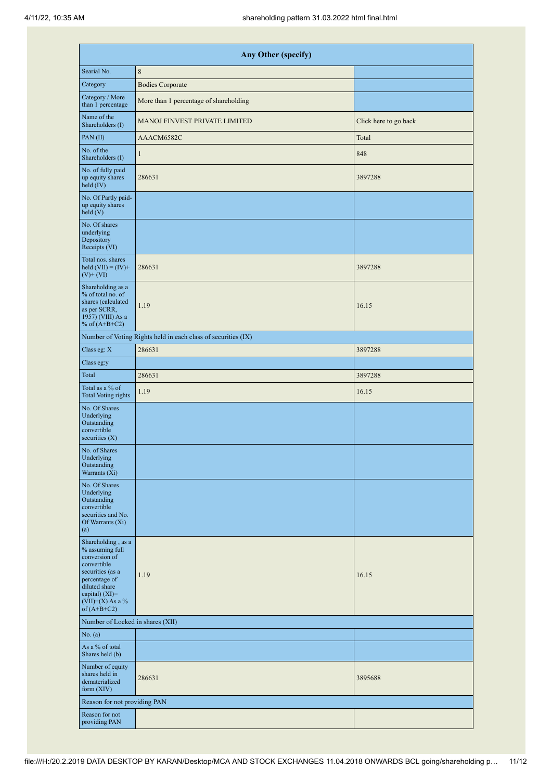|                                                                                                                                                                                        | <b>Any Other (specify)</b>                                    |                       |
|----------------------------------------------------------------------------------------------------------------------------------------------------------------------------------------|---------------------------------------------------------------|-----------------------|
| Searial No.                                                                                                                                                                            | 8                                                             |                       |
| Category                                                                                                                                                                               | <b>Bodies Corporate</b>                                       |                       |
| Category / More<br>than 1 percentage                                                                                                                                                   | More than 1 percentage of shareholding                        |                       |
| Name of the<br>Shareholders (I)                                                                                                                                                        | <b>MANOJ FINVEST PRIVATE LIMITED</b>                          | Click here to go back |
| PAN(II)                                                                                                                                                                                | AAACM6582C                                                    | Total                 |
| No. of the<br>Shareholders (I)                                                                                                                                                         | $\mathbf{1}$                                                  | 848                   |
| No. of fully paid<br>up equity shares<br>held $(IV)$                                                                                                                                   | 286631                                                        | 3897288               |
| No. Of Partly paid-<br>up equity shares<br>held(V)                                                                                                                                     |                                                               |                       |
| No. Of shares<br>underlying<br>Depository<br>Receipts (VI)                                                                                                                             |                                                               |                       |
| Total nos. shares<br>held $(VII) = (IV) +$<br>$(V)$ + $(VI)$                                                                                                                           | 286631                                                        | 3897288               |
| Shareholding as a<br>% of total no. of<br>shares (calculated<br>as per SCRR,<br>1957) (VIII) As a<br>% of $(A+B+C2)$                                                                   | 1.19                                                          | 16.15                 |
|                                                                                                                                                                                        | Number of Voting Rights held in each class of securities (IX) |                       |
| Class eg: X                                                                                                                                                                            | 286631                                                        | 3897288               |
| Class eg:y                                                                                                                                                                             |                                                               |                       |
| Total                                                                                                                                                                                  | 286631                                                        | 3897288               |
| Total as a % of<br><b>Total Voting rights</b>                                                                                                                                          | 1.19                                                          | 16.15                 |
| No. Of Shares<br>Underlying<br>Outstanding<br>convertible<br>securities $(X)$                                                                                                          |                                                               |                       |
| No. of Shares<br>Underlying<br>Outstanding<br>Warrants $(X_i)$                                                                                                                         |                                                               |                       |
| No. Of Shares<br>Underlying<br>Outstanding<br>convertible<br>securities and No.<br>Of Warrants (Xi)<br>(a)                                                                             |                                                               |                       |
| Shareholding, as a<br>% assuming full<br>conversion of<br>convertible<br>securities (as a<br>percentage of<br>diluted share<br>capital) $(XI)=$<br>$(VII)+(X)$ As a %<br>of $(A+B+C2)$ | 1.19                                                          | 16.15                 |
| Number of Locked in shares (XII)                                                                                                                                                       |                                                               |                       |
| No. (a)                                                                                                                                                                                |                                                               |                       |
| As a % of total<br>Shares held (b)                                                                                                                                                     |                                                               |                       |
| Number of equity<br>shares held in<br>dematerialized<br>form (XIV)                                                                                                                     | 286631                                                        | 3895688               |
| Reason for not providing PAN                                                                                                                                                           |                                                               |                       |
| Reason for not<br>providing PAN                                                                                                                                                        |                                                               |                       |